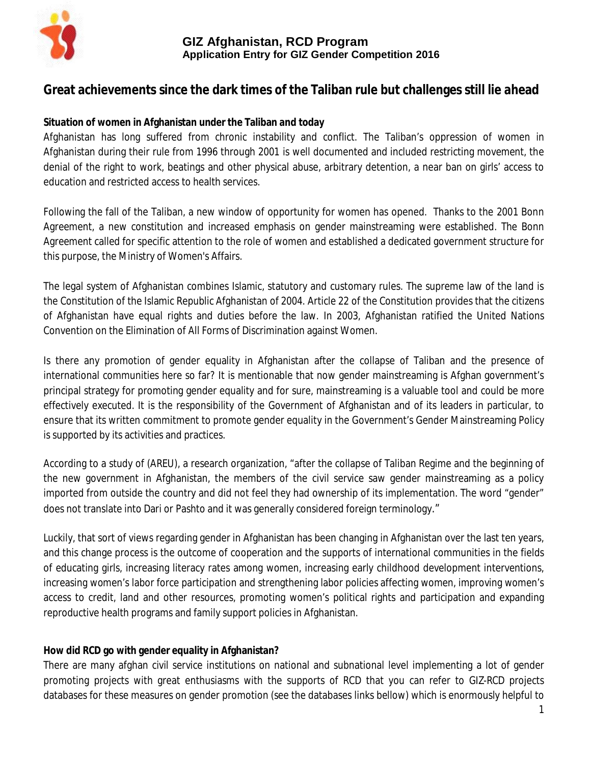

# **Great achievements since the dark times of the Taliban rule but challenges still lie ahead**

## **Situation of women in Afghanistan under the Taliban and today**

Afghanistan has long suffered from chronic instability and conflict. The Taliban's oppression of women in Afghanistan during their rule from 1996 through 2001 is well documented and included restricting movement, the denial of the right to work, beatings and other physical abuse, arbitrary detention, a near ban on girls' access to education and restricted access to health services.

Following the fall of the Taliban, a new window of opportunity for women has opened. Thanks to the 2001 Bonn Agreement, a new constitution and increased emphasis on gender mainstreaming were established. The Bonn Agreement called for specific attention to the role of women and established a dedicated government structure for this purpose, the Ministry of Women's Affairs.

The legal system of Afghanistan combines Islamic, statutory and customary rules. The supreme law of the land is the Constitution of the Islamic Republic Afghanistan of 2004. Article 22 of the Constitution provides that the citizens of Afghanistan have equal rights and duties before the law. In 2003, Afghanistan ratified the United Nations Convention on the Elimination of All Forms of Discrimination against Women.

Is there any promotion of gender equality in Afghanistan after the collapse of Taliban and the presence of international communities here so far? It is mentionable that now gender mainstreaming is Afghan government's principal strategy for promoting gender equality and for sure, mainstreaming is a valuable tool and could be more effectively executed. It is the responsibility of the Government of Afghanistan and of its leaders in particular, to ensure that its written commitment to promote gender equality in the Government's Gender Mainstreaming Policy is supported by its activities and practices.

According to a study of (AREU), a research organization, "after the collapse of Taliban Regime and the beginning of the new government in Afghanistan, the members of the civil service saw gender mainstreaming as a policy imported from outside the country and did not feel they had ownership of its implementation. The word "gender" does not translate into Dari or Pashto and it was generally considered foreign terminology."

Luckily, that sort of views regarding gender in Afghanistan has been changing in Afghanistan over the last ten years, and this change process is the outcome of cooperation and the supports of international communities in the fields of educating girls, increasing literacy rates among women, increasing early childhood development interventions, increasing women's labor force participation and strengthening labor policies affecting women, improving women's access to credit, land and other resources, promoting women's political rights and participation and expanding reproductive health programs and family support policies in Afghanistan.

## **How did RCD go with gender equality in Afghanistan?**

There are many afghan civil service institutions on national and subnational level implementing a lot of gender promoting projects with great enthusiasms with the supports of RCD that you can refer to GIZ-RCD projects databases for these measures on gender promotion (see the databases links bellow) which is enormously helpful to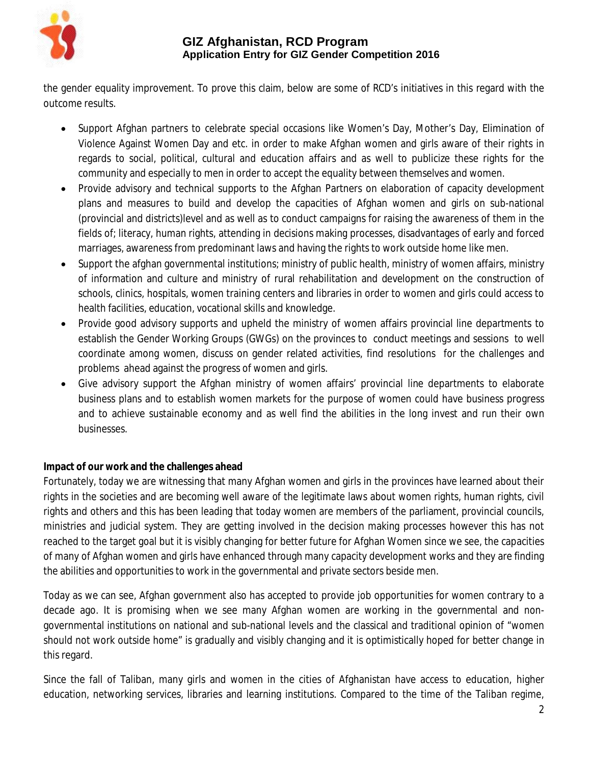

the gender equality improvement. To prove this claim, below are some of RCD's initiatives in this regard with the outcome results.

- Support Afghan partners to celebrate special occasions like Women's Day, Mother's Day, Elimination of Violence Against Women Day and etc. in order to make Afghan women and girls aware of their rights in regards to social, political, cultural and education affairs and as well to publicize these rights for the community and especially to men in order to accept the equality between themselves and women.
- Provide advisory and technical supports to the Afghan Partners on elaboration of capacity development plans and measures to build and develop the capacities of Afghan women and girls on sub-national (provincial and districts)level and as well as to conduct campaigns for raising the awareness of them in the fields of; literacy, human rights, attending in decisions making processes, disadvantages of early and forced marriages, awareness from predominant laws and having the rights to work outside home like men.
- Support the afghan governmental institutions; ministry of public health, ministry of women affairs, ministry of information and culture and ministry of rural rehabilitation and development on the construction of schools, clinics, hospitals, women training centers and libraries in order to women and girls could access to health facilities, education, vocational skills and knowledge.
- Provide good advisory supports and upheld the ministry of women affairs provincial line departments to establish the Gender Working Groups (GWGs) on the provinces to conduct meetings and sessions to well coordinate among women, discuss on gender related activities, find resolutions for the challenges and problems ahead against the progress of women and girls.
- Give advisory support the Afghan ministry of women affairs' provincial line departments to elaborate business plans and to establish women markets for the purpose of women could have business progress and to achieve sustainable economy and as well find the abilities in the long invest and run their own businesses.

# **Impact of our work and the challenges ahead**

Fortunately, today we are witnessing that many Afghan women and girls in the provinces have learned about their rights in the societies and are becoming well aware of the legitimate laws about women rights, human rights, civil rights and others and this has been leading that today women are members of the parliament, provincial councils, ministries and judicial system. They are getting involved in the decision making processes however this has not reached to the target goal but it is visibly changing for better future for Afghan Women since we see, the capacities of many of Afghan women and girls have enhanced through many capacity development works and they are finding the abilities and opportunities to work in the governmental and private sectors beside men.

Today as we can see, Afghan government also has accepted to provide job opportunities for women contrary to a decade ago. It is promising when we see many Afghan women are working in the governmental and nongovernmental institutions on national and sub-national levels and the classical and traditional opinion of "women should not work outside home" is gradually and visibly changing and it is optimistically hoped for better change in this regard.

Since the fall of Taliban, many girls and women in the cities of Afghanistan have access to education, higher education, networking services, libraries and learning institutions. Compared to the time of the Taliban regime,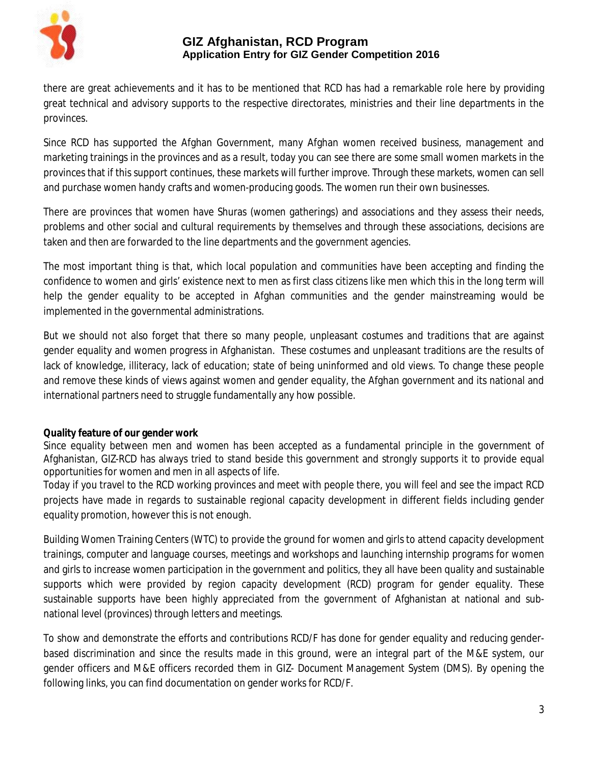

there are great achievements and it has to be mentioned that RCD has had a remarkable role here by providing great technical and advisory supports to the respective directorates, ministries and their line departments in the provinces.

Since RCD has supported the Afghan Government, many Afghan women received business, management and marketing trainings in the provinces and as a result, today you can see there are some small women markets in the provinces that if this support continues, these markets will further improve. Through these markets, women can sell and purchase women handy crafts and women-producing goods. The women run their own businesses.

There are provinces that women have Shuras (women gatherings) and associations and they assess their needs, problems and other social and cultural requirements by themselves and through these associations, decisions are taken and then are forwarded to the line departments and the government agencies.

The most important thing is that, which local population and communities have been accepting and finding the confidence to women and girls' existence next to men as first class citizens like men which this in the long term will help the gender equality to be accepted in Afghan communities and the gender mainstreaming would be implemented in the governmental administrations.

But we should not also forget that there so many people, unpleasant costumes and traditions that are against gender equality and women progress in Afghanistan. These costumes and unpleasant traditions are the results of lack of knowledge, illiteracy, lack of education; state of being uninformed and old views. To change these people and remove these kinds of views against women and gender equality, the Afghan government and its national and international partners need to struggle fundamentally any how possible.

## **Quality feature of our gender work**

Since equality between men and women has been accepted as a fundamental principle in the government of Afghanistan, GIZ-RCD has always tried to stand beside this government and strongly supports it to provide equal opportunities for women and men in all aspects of life.

Today if you travel to the RCD working provinces and meet with people there, you will feel and see the impact RCD projects have made in regards to sustainable regional capacity development in different fields including gender equality promotion, however this is not enough.

Building Women Training Centers (WTC) to provide the ground for women and girls to attend capacity development trainings, computer and language courses, meetings and workshops and launching internship programs for women and girls to increase women participation in the government and politics, they all have been quality and sustainable supports which were provided by region capacity development (RCD) program for gender equality. These sustainable supports have been highly appreciated from the government of Afghanistan at national and subnational level (provinces) through letters and meetings.

To show and demonstrate the efforts and contributions RCD/F has done for gender equality and reducing genderbased discrimination and since the results made in this ground, were an integral part of the M&E system, our gender officers and M&E officers recorded them in GIZ- Document Management System (DMS). By opening the following links, you can find documentation on gender works for RCD/F.